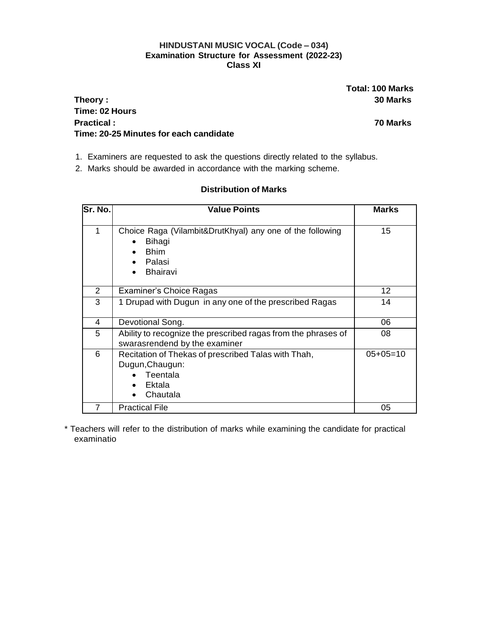## **HINDUSTANI MUSIC VOCAL (Code – 034) Examination Structure for Assessment (2022-23) Class XI**

**Total: 100 Marks**

## **Theory : 30 Marks Time: 02 Hours Practical : 70 Marks Time: 20-25 Minutes for each candidate**

- 1. Examiners are requested to ask the questions directly related to the syllabus.
- 2. Marks should be awarded in accordance with the marking scheme.

| Sr. No. | <b>Value Points</b>                                                                                             | <b>Marks</b> |
|---------|-----------------------------------------------------------------------------------------------------------------|--------------|
| 1       | Choice Raga (Vilambit&DrutKhyal) any one of the following<br>Bihagi<br><b>Bhim</b><br>Palasi<br><b>Bhairavi</b> | 15           |
| 2       | Examiner's Choice Ragas                                                                                         | 12           |
| 3       | 1 Drupad with Dugun in any one of the prescribed Ragas                                                          | 14           |
| 4       | Devotional Song.                                                                                                | 06           |
| 5       | Ability to recognize the prescribed ragas from the phrases of<br>swarasrendend by the examiner                  | 08           |
| 6       | Recitation of Thekas of prescribed Talas with Thah,<br>Dugun, Chaugun:<br>Teentala<br>Ektala<br>Chautala        | $05+05=10$   |
|         | <b>Practical File</b>                                                                                           | 05           |

## **Distribution of Marks**

\* Teachers will refer to the distribution of marks while examining the candidate for practical examinatio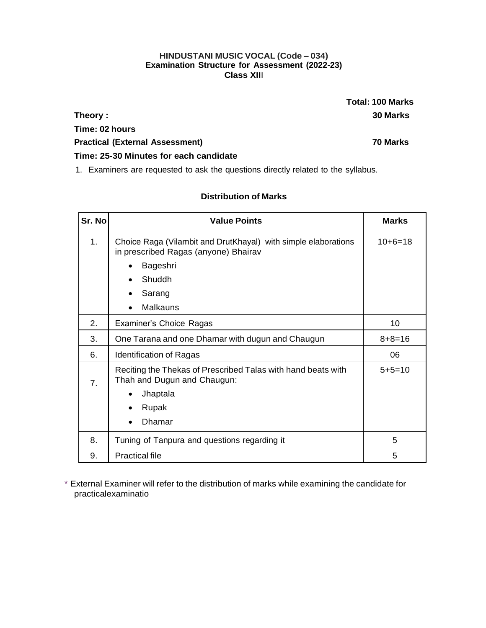### **HINDUSTANI MUSIC VOCAL (Code – 034) Examination Structure for Assessment (2022-23) Class XII**I

**Total: 100 Marks Theory : 30 Marks**

**Time: 02 hours Practical (External Assessment) 70 Marks**

**Time: 25-30 Minutes for each candidate**

1. Examiners are requested to ask the questions directly related to the syllabus.

## **Distribution of Marks**

| Sr. No           | <b>Value Points</b>                                                                                    | <b>Marks</b> |
|------------------|--------------------------------------------------------------------------------------------------------|--------------|
| 1 <sub>1</sub>   | Choice Raga (Vilambit and DrutKhayal) with simple elaborations<br>in prescribed Ragas (anyone) Bhairav | $10+6=18$    |
|                  | Bageshri<br>٠                                                                                          |              |
|                  | Shuddh<br>$\bullet$                                                                                    |              |
|                  | Sarang<br>$\bullet$                                                                                    |              |
|                  | <b>Malkauns</b><br>$\bullet$                                                                           |              |
| 2.               | Examiner's Choice Ragas                                                                                | 10           |
| 3.               | One Tarana and one Dhamar with dugun and Chaugun                                                       | $8 + 8 = 16$ |
| 6.               | <b>Identification of Ragas</b>                                                                         | 06           |
| $\overline{7}$ . | Reciting the Thekas of Prescribed Talas with hand beats with<br>Thah and Dugun and Chaugun:            | $5 + 5 = 10$ |
|                  | Jhaptala<br>$\bullet$                                                                                  |              |
|                  | Rupak<br>$\bullet$                                                                                     |              |
|                  | Dhamar<br>$\bullet$                                                                                    |              |
| 8.               | Tuning of Tanpura and questions regarding it                                                           | 5            |
| 9.               | <b>Practical file</b>                                                                                  | 5            |

\* External Examiner will refer to the distribution of marks while examining the candidate for practicalexaminatio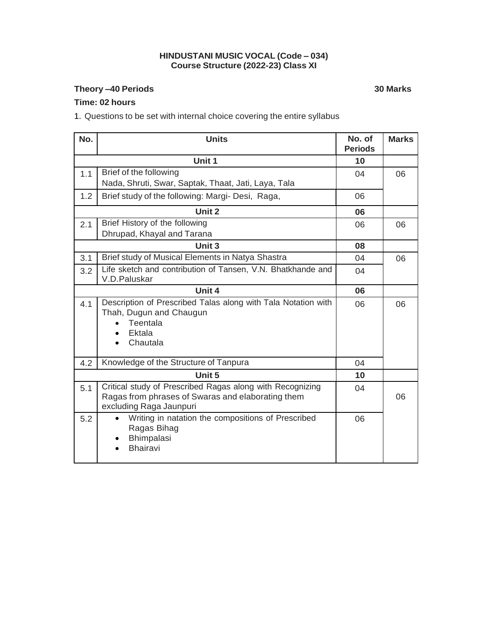#### **HINDUSTANI MUSIC VOCAL (Code – 034) Course Structure (2022-23) Class XI**

## **Theory –40 Periods 30 Marks**

**Time: 02 hours**

1. Questions to be set with internal choice covering the entire syllabus

| No.    | <b>Units</b>                                                                                                                              | No. of<br><b>Periods</b> | <b>Marks</b> |
|--------|-------------------------------------------------------------------------------------------------------------------------------------------|--------------------------|--------------|
|        | Unit 1                                                                                                                                    | 10                       |              |
| 1.1    | Brief of the following<br>Nada, Shruti, Swar, Saptak, Thaat, Jati, Laya, Tala                                                             | 04                       | 06           |
| 1.2    | Brief study of the following: Margi- Desi, Raga,                                                                                          | 06                       |              |
|        | Unit 2                                                                                                                                    | 06                       |              |
| 2.1    | Brief History of the following<br>Dhrupad, Khayal and Tarana                                                                              | 06                       | 06           |
|        | Unit 3                                                                                                                                    | 80                       |              |
| 3.1    | Brief study of Musical Elements in Natya Shastra                                                                                          | 04                       | 06           |
| 3.2    | Life sketch and contribution of Tansen, V.N. Bhatkhande and<br>V.D.Paluskar                                                               | 04                       |              |
| Unit 4 |                                                                                                                                           | 06                       |              |
| 4.1    | Description of Prescribed Talas along with Tala Notation with<br>Thah, Dugun and Chaugun<br>Teentala<br>Ektala<br>$\bullet$<br>Chautala   | 06                       | 06           |
| 4.2    | Knowledge of the Structure of Tanpura                                                                                                     | 04                       |              |
|        | Unit 5                                                                                                                                    | 10                       |              |
| 5.1    | Critical study of Prescribed Ragas along with Recognizing<br>Ragas from phrases of Swaras and elaborating them<br>excluding Raga Jaunpuri | 04                       | 06           |
| 5.2    | Writing in natation the compositions of Prescribed<br>$\bullet$<br>Ragas Bihag<br>Bhimpalasi<br><b>Bhairavi</b>                           | 06                       |              |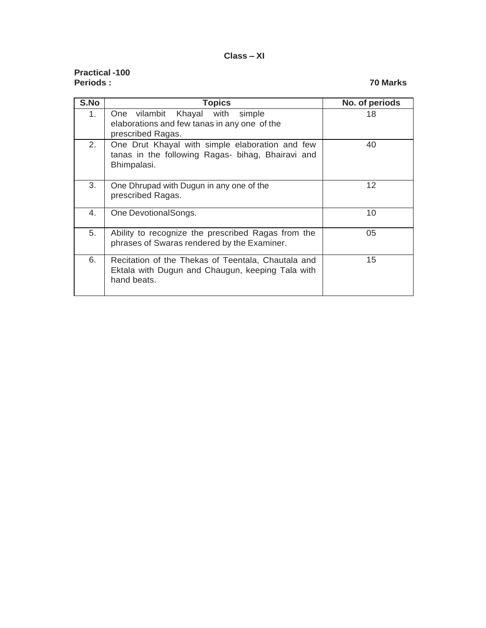#### **Class – XI**

## **Practical -100 Periods : 70 Marks**

| S.No | <b>Topics</b>                                                                                                         | No. of periods    |
|------|-----------------------------------------------------------------------------------------------------------------------|-------------------|
| 1.   | One vilambit Khayal with<br>simple<br>elaborations and few tanas in any one of the<br>prescribed Ragas.               | 18                |
| 2.   | One Drut Khayal with simple elaboration and few<br>tanas in the following Ragas- bihag, Bhairavi and<br>Bhimpalasi.   | 40                |
| 3.   | One Dhrupad with Dugun in any one of the<br>prescribed Ragas.                                                         | $12 \overline{ }$ |
| 4.   | One DevotionalSongs.                                                                                                  | 10                |
| 5.   | Ability to recognize the prescribed Ragas from the<br>phrases of Swaras rendered by the Examiner.                     | 05                |
| 6.   | Recitation of the Thekas of Teentala, Chautala and<br>Ektala with Dugun and Chaugun, keeping Tala with<br>hand beats. | 15                |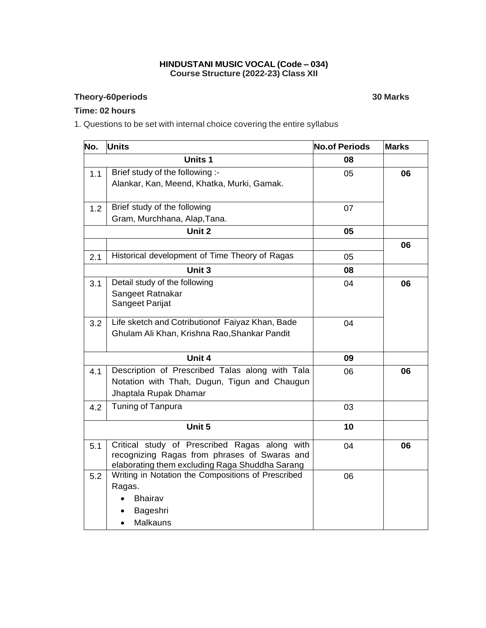#### **HINDUSTANI MUSIC VOCAL (Code – 034) Course Structure (2022-23) Class XII**

## **Theory-60periods 30 Marks**

## **Time: 02 hours**

1. Questions to be set with internal choice covering the entire syllabus

| No. | Units                                              | <b>No.of Periods</b> | <b>Marks</b> |
|-----|----------------------------------------------------|----------------------|--------------|
|     | <b>Units 1</b>                                     | 08                   |              |
| 1.1 | Brief study of the following :-                    | 05                   | 06           |
|     | Alankar, Kan, Meend, Khatka, Murki, Gamak.         |                      |              |
| 1.2 | Brief study of the following                       | 07                   |              |
|     | Gram, Murchhana, Alap, Tana.                       |                      |              |
|     | Unit 2                                             | 05                   |              |
|     |                                                    |                      | 06           |
| 2.1 | Historical development of Time Theory of Ragas     | 05                   |              |
|     | Unit 3                                             | 08                   |              |
| 3.1 | Detail study of the following                      | 04                   | 06           |
|     | Sangeet Ratnakar                                   |                      |              |
|     | Sangeet Parijat                                    |                      |              |
| 3.2 | Life sketch and Cotributionof Faiyaz Khan, Bade    | 04                   |              |
|     | Ghulam Ali Khan, Krishna Rao, Shankar Pandit       |                      |              |
|     |                                                    |                      |              |
|     | Unit 4                                             | 09                   |              |
| 4.1 | Description of Prescribed Talas along with Tala    | 06                   | 06           |
|     | Notation with Thah, Dugun, Tigun and Chaugun       |                      |              |
|     | Jhaptala Rupak Dhamar                              |                      |              |
| 4.2 | Tuning of Tanpura                                  | 03                   |              |
|     | Unit 5                                             | 10                   |              |
| 5.1 | Critical study of Prescribed Ragas along with      | 04                   | 06           |
|     | recognizing Ragas from phrases of Swaras and       |                      |              |
|     | elaborating them excluding Raga Shuddha Sarang     |                      |              |
| 5.2 | Writing in Notation the Compositions of Prescribed | 06                   |              |
|     | Ragas.                                             |                      |              |
|     | <b>Bhairav</b>                                     |                      |              |
|     | Bageshri                                           |                      |              |
|     | Malkauns                                           |                      |              |